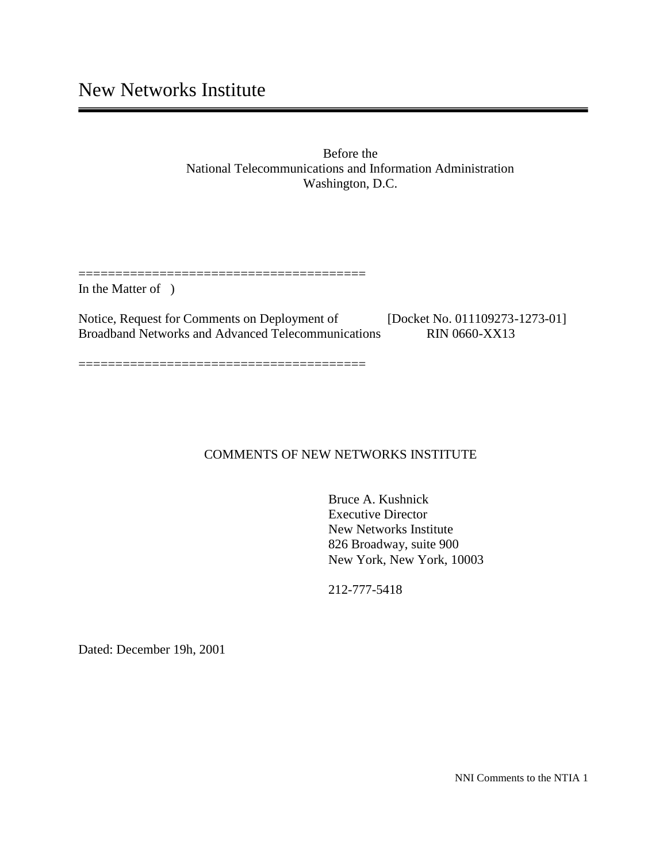Before the National Telecommunications and Information Administration Washington, D.C.

In the Matter of )

Notice, Request for Comments on Deployment of [Docket No. 011109273-1273-01] Broadband Networks and Advanced Telecommunications RIN 0660-XX13

=======================================

=======================================

#### COMMENTS OF NEW NETWORKS INSTITUTE

Bruce A. Kushnick Executive Director New Networks Institute 826 Broadway, suite 900 New York, New York, 10003

212-777-5418

Dated: December 19h, 2001

NNI Comments to the NTIA 1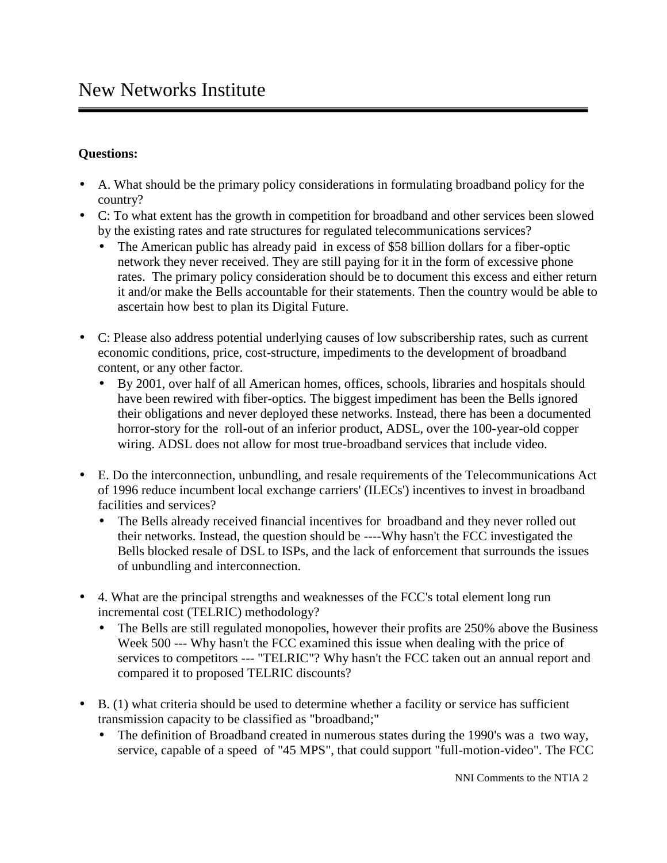## **Questions:**

- A. What should be the primary policy considerations in formulating broadband policy for the country?
- C: To what extent has the growth in competition for broadband and other services been slowed by the existing rates and rate structures for regulated telecommunications services?
	- The American public has already paid in excess of \$58 billion dollars for a fiber-optic network they never received. They are still paying for it in the form of excessive phone rates. The primary policy consideration should be to document this excess and either return it and/or make the Bells accountable for their statements. Then the country would be able to ascertain how best to plan its Digital Future.
- C: Please also address potential underlying causes of low subscribership rates, such as current economic conditions, price, cost-structure, impediments to the development of broadband content, or any other factor.
	- By 2001, over half of all American homes, offices, schools, libraries and hospitals should have been rewired with fiber-optics. The biggest impediment has been the Bells ignored their obligations and never deployed these networks. Instead, there has been a documented horror-story for the roll-out of an inferior product, ADSL, over the 100-year-old copper wiring. ADSL does not allow for most true-broadband services that include video.
- E. Do the interconnection, unbundling, and resale requirements of the Telecommunications Act of 1996 reduce incumbent local exchange carriers' (ILECs') incentives to invest in broadband facilities and services?
	- The Bells already received financial incentives for broadband and they never rolled out their networks. Instead, the question should be ----Why hasn't the FCC investigated the Bells blocked resale of DSL to ISPs, and the lack of enforcement that surrounds the issues of unbundling and interconnection.
- 4. What are the principal strengths and weaknesses of the FCC's total element long run incremental cost (TELRIC) methodology?
	- The Bells are still regulated monopolies, however their profits are 250% above the Business Week 500 --- Why hasn't the FCC examined this issue when dealing with the price of services to competitors --- "TELRIC"? Why hasn't the FCC taken out an annual report and compared it to proposed TELRIC discounts?
- B. (1) what criteria should be used to determine whether a facility or service has sufficient transmission capacity to be classified as "broadband;"
	- The definition of Broadband created in numerous states during the 1990's was a two way, service, capable of a speed of "45 MPS", that could support "full-motion-video". The FCC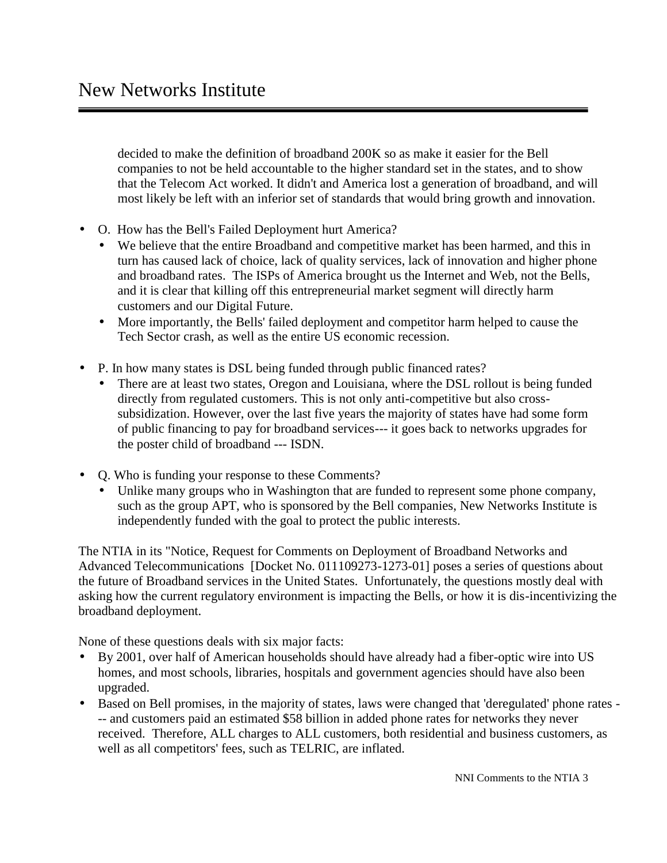decided to make the definition of broadband 200K so as make it easier for the Bell companies to not be held accountable to the higher standard set in the states, and to show that the Telecom Act worked. It didn't and America lost a generation of broadband, and will most likely be left with an inferior set of standards that would bring growth and innovation.

- O. How has the Bell's Failed Deployment hurt America?
	- We believe that the entire Broadband and competitive market has been harmed, and this in turn has caused lack of choice, lack of quality services, lack of innovation and higher phone and broadband rates. The ISPs of America brought us the Internet and Web, not the Bells, and it is clear that killing off this entrepreneurial market segment will directly harm customers and our Digital Future.
	- More importantly, the Bells' failed deployment and competitor harm helped to cause the Tech Sector crash, as well as the entire US economic recession.
- P. In how many states is DSL being funded through public financed rates?
	- There are at least two states, Oregon and Louisiana, where the DSL rollout is being funded directly from regulated customers. This is not only anti-competitive but also cross subsidization. However, over the last five years the majority of states have had some form of public financing to pay for broadband services--- it goes back to networks upgrades for the poster child of broadband --- ISDN.
- Q. Who is funding your response to these Comments?
	- Unlike many groups who in Washington that are funded to represent some phone company, such as the group APT, who is sponsored by the Bell companies, New Networks Institute is independently funded with the goal to protect the public interests.

The NTIA in its "Notice, Request for Comments on Deployment of Broadband Networks and Advanced Telecommunications [Docket No. 011109273-1273-01] poses a series of questions about the future of Broadband services in the United States. Unfortunately, the questions mostly deal with asking how the current regulatory environment is impacting the Bells, or how it is dis-incentivizing the broadband deployment.

None of these questions deals with six major facts:

- By 2001, over half of American households should have already had a fiber-optic wire into US homes, and most schools, libraries, hospitals and government agencies should have also been upgraded.
- Based on Bell promises, in the majority of states, laws were changed that 'deregulated' phone rates -- and customers paid an estimated \$58 billion in added phone rates for networks they never received. Therefore, ALL charges to ALL customers, both residential and business customers, as well as all competitors' fees, such as TELRIC, are inflated.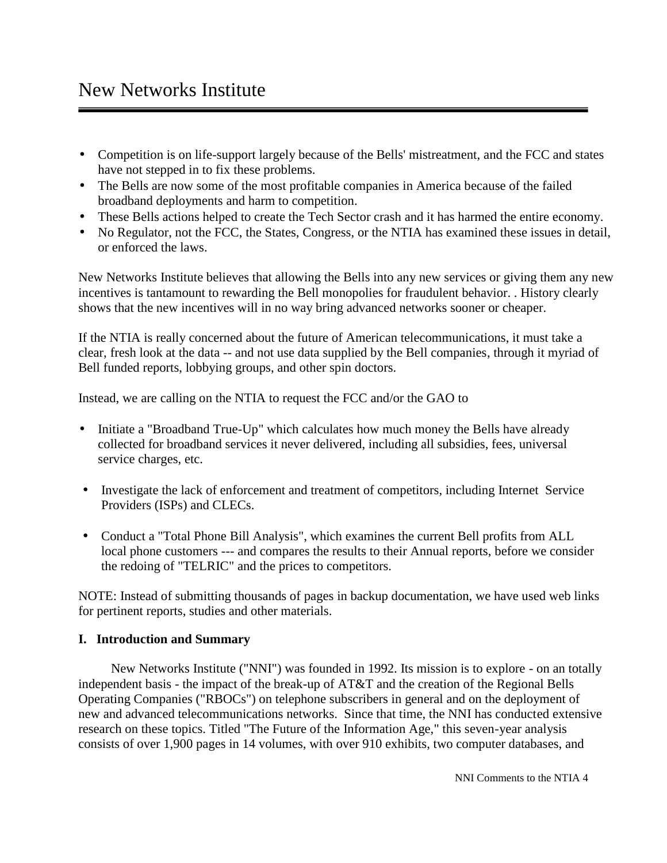- Competition is on life-support largely because of the Bells' mistreatment, and the FCC and states have not stepped in to fix these problems.
- The Bells are now some of the most profitable companies in America because of the failed broadband deployments and harm to competition.
- These Bells actions helped to create the Tech Sector crash and it has harmed the entire economy.
- No Regulator, not the FCC, the States, Congress, or the NTIA has examined these issues in detail, or enforced the laws.

New Networks Institute believes that allowing the Bells into any new services or giving them any new incentives is tantamount to rewarding the Bell monopolies for fraudulent behavior. . History clearly shows that the new incentives will in no way bring advanced networks sooner or cheaper.

If the NTIA is really concerned about the future of American telecommunications, it must take a clear, fresh look at the data -- and not use data supplied by the Bell companies, through it myriad of Bell funded reports, lobbying groups, and other spin doctors.

Instead, we are calling on the NTIA to request the FCC and/or the GAO to

- Initiate a "Broadband True-Up" which calculates how much money the Bells have already collected for broadband services it never delivered, including all subsidies, fees, universal service charges, etc.
- Investigate the lack of enforcement and treatment of competitors, including Internet Service Providers (ISPs) and CLECs.
- Conduct a "Total Phone Bill Analysis", which examines the current Bell profits from ALL local phone customers --- and compares the results to their Annual reports, before we consider the redoing of "TELRIC" and the prices to competitors.

NOTE: Instead of submitting thousands of pages in backup documentation, we have used web links for pertinent reports, studies and other materials.

# **I. Introduction and Summary**

 New Networks Institute ("NNI") was founded in 1992. Its mission is to explore - on an totally independent basis - the impact of the break-up of AT&T and the creation of the Regional Bells Operating Companies ("RBOCs") on telephone subscribers in general and on the deployment of new and advanced telecommunications networks. Since that time, the NNI has conducted extensive research on these topics. Titled "The Future of the Information Age," this seven-year analysis consists of over 1,900 pages in 14 volumes, with over 910 exhibits, two computer databases, and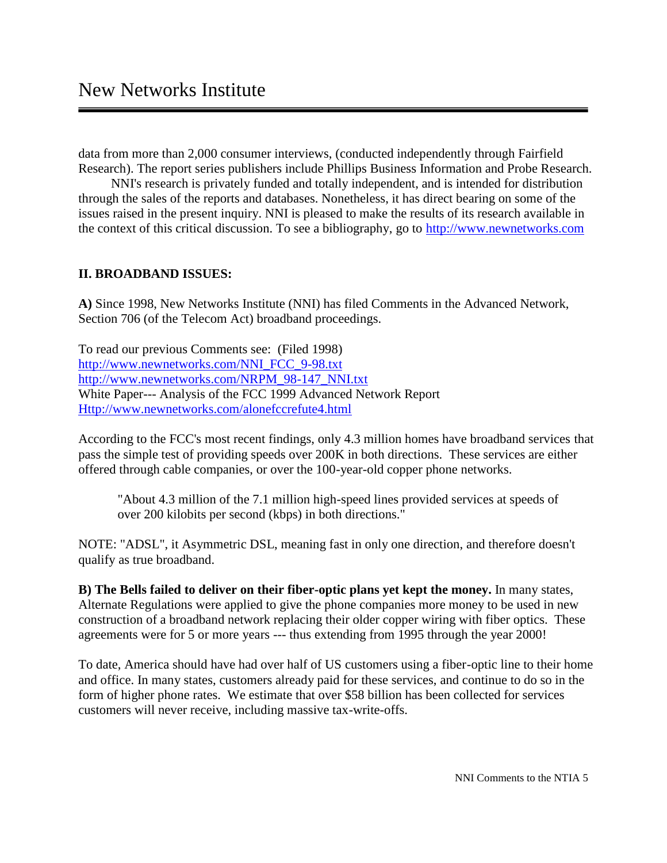data from more than 2,000 consumer interviews, (conducted independently through Fairfield Research). The report series publishers include Phillips Business Information and Probe Research.

 NNI's research is privately funded and totally independent, and is intended for distribution through the sales of the reports and databases. Nonetheless, it has direct bearing on some of the issues raised in the present inquiry. NNI is pleased to make the results of its research available in the context of this critical discussion. To see a bibliography, go to http://www.newnetworks.com

#### **II. BROADBAND ISSUES:**

**A)** Since 1998, New Networks Institute (NNI) has filed Comments in the Advanced Network, Section 706 (of the Telecom Act) broadband proceedings.

To read our previous Comments see: (Filed 1998) http://www.newnetworks.com/NNI\_FCC\_9-98.txt http://www.newnetworks.com/NRPM\_98-147\_NNI.txt White Paper--- Analysis of the FCC 1999 Advanced Network Report Http://www.newnetworks.com/alonefccrefute4.html

According to the FCC's most recent findings, only 4.3 million homes have broadband services that pass the simple test of providing speeds over 200K in both directions. These services are either offered through cable companies, or over the 100-year-old copper phone networks.

"About 4.3 million of the 7.1 million high-speed lines provided services at speeds of over 200 kilobits per second (kbps) in both directions."

NOTE: "ADSL", it Asymmetric DSL, meaning fast in only one direction, and therefore doesn't qualify as true broadband.

**B) The Bells failed to deliver on their fiber-optic plans yet kept the money.** In many states, Alternate Regulations were applied to give the phone companies more money to be used in new construction of a broadband network replacing their older copper wiring with fiber optics. These agreements were for 5 or more years --- thus extending from 1995 through the year 2000!

To date, America should have had over half of US customers using a fiber-optic line to their home and office. In many states, customers already paid for these services, and continue to do so in the form of higher phone rates. We estimate that over \$58 billion has been collected for services customers will never receive, including massive tax-write-offs.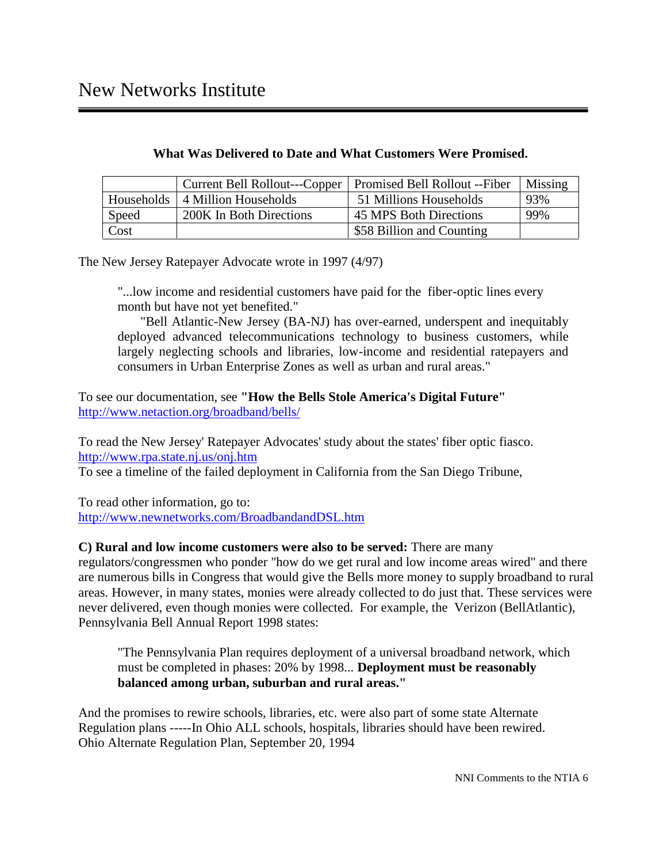|            | Current Bell Rollout---Copper   Promised Bell Rollout -- Fiber |                           | Missing |
|------------|----------------------------------------------------------------|---------------------------|---------|
| Households | 4 Million Households                                           | 51 Millions Households    | 93%     |
| Speed      | 200K In Both Directions                                        | 45 MPS Both Directions    | 99%     |
| Cost       |                                                                | \$58 Billion and Counting |         |

The New Jersey Ratepayer Advocate wrote in 1997 (4/97)

"...low income and residential customers have paid for the fiber-optic lines every month but have not yet benefited."

 "Bell Atlantic-New Jersey (BA-NJ) has over-earned, underspent and inequitably deployed advanced telecommunications technology to business customers, while largely neglecting schools and libraries, low-income and residential ratepayers and consumers in Urban Enterprise Zones as well as urban and rural areas."

To see our documentation, see **"How the Bells Stole America's Digital Future"** http://www.netaction.org/broadband/bells/

To read the New Jersey' Ratepayer Advocates' study about the states' fiber optic fiasco. http://www.rpa.state.nj.us/onj.htm

To see a timeline of the failed deployment in California from the San Diego Tribune,

To read other information, go to: http://www.newnetworks.com/BroadbandandDSL.htm

## **C) Rural and low income customers were also to be served:** There are many

regulators/congressmen who ponder "how do we get rural and low income areas wired" and there are numerous bills in Congress that would give the Bells more money to supply broadband to rural areas. However, in many states, monies were already collected to do just that. These services were never delivered, even though monies were collected. For example, the Verizon (BellAtlantic), Pennsylvania Bell Annual Report 1998 states:

"The Pennsylvania Plan requires deployment of a universal broadband network, which must be completed in phases: 20% by 1998... **Deployment must be reasonably balanced among urban, suburban and rural areas."**

And the promises to rewire schools, libraries, etc. were also part of some state Alternate Regulation plans -----In Ohio ALL schools, hospitals, libraries should have been rewired. Ohio Alternate Regulation Plan, September 20, 1994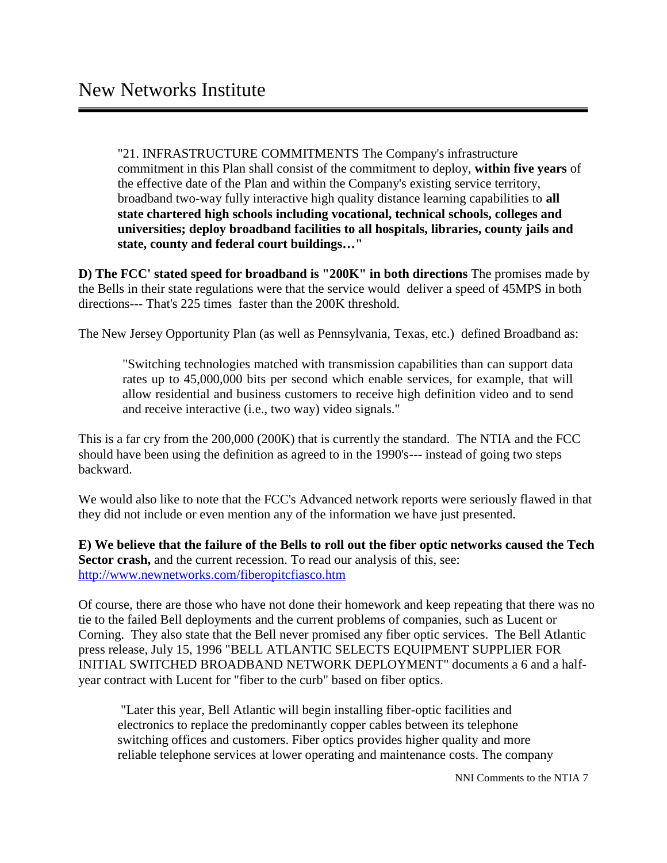"21. INFRASTRUCTURE COMMITMENTS The Company's infrastructure commitment in this Plan shall consist of the commitment to deploy, **within five years** of the effective date of the Plan and within the Company's existing service territory, broadband two-way fully interactive high quality distance learning capabilities to **all state chartered high schools including vocational, technical schools, colleges and universities; deploy broadband facilities to all hospitals, libraries, county jails and state, county and federal court buildings…"**

**D) The FCC' stated speed for broadband is "200K" in both directions** The promises made by the Bells in their state regulations were that the service would deliver a speed of 45MPS in both directions--- That's 225 times faster than the 200K threshold.

The New Jersey Opportunity Plan (as well as Pennsylvania, Texas, etc.) defined Broadband as:

"Switching technologies matched with transmission capabilities than can support data rates up to 45,000,000 bits per second which enable services, for example, that will allow residential and business customers to receive high definition video and to send and receive interactive (i.e., two way) video signals."

This is a far cry from the 200,000 (200K) that is currently the standard. The NTIA and the FCC should have been using the definition as agreed to in the 1990's--- instead of going two steps backward.

We would also like to note that the FCC's Advanced network reports were seriously flawed in that they did not include or even mention any of the information we have just presented.

**E) We believe that the failure of the Bells to roll out the fiber optic networks caused the Tech Sector crash,** and the current recession. To read our analysis of this, see: http://www.newnetworks.com/fiberopitcfiasco.htm

Of course, there are those who have not done their homework and keep repeating that there was no tie to the failed Bell deployments and the current problems of companies, such as Lucent or Corning. They also state that the Bell never promised any fiber optic services. The Bell Atlantic press release, July 15, 1996 "BELL ATLANTIC SELECTS EQUIPMENT SUPPLIER FOR INITIAL SWITCHED BROADBAND NETWORK DEPLOYMENT" documents a 6 and a half year contract with Lucent for "fiber to the curb" based on fiber optics.

 "Later this year, Bell Atlantic will begin installing fiber-optic facilities and electronics to replace the predominantly copper cables between its telephone switching offices and customers. Fiber optics provides higher quality and more reliable telephone services at lower operating and maintenance costs. The company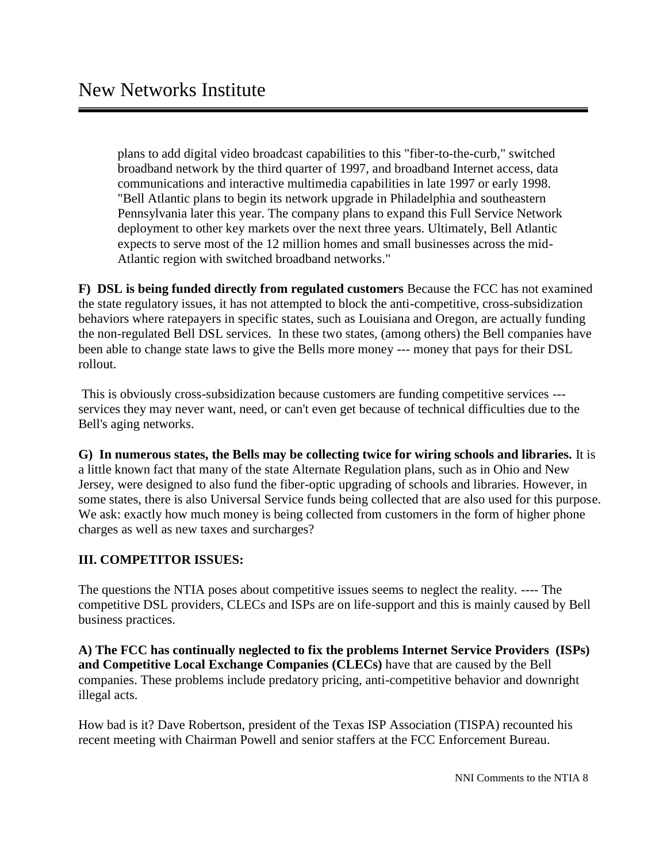plans to add digital video broadcast capabilities to this "fiber-to-the-curb," switched broadband network by the third quarter of 1997, and broadband Internet access, data communications and interactive multimedia capabilities in late 1997 or early 1998. "Bell Atlantic plans to begin its network upgrade in Philadelphia and southeastern Pennsylvania later this year. The company plans to expand this Full Service Network deployment to other key markets over the next three years. Ultimately, Bell Atlantic expects to serve most of the 12 million homes and small businesses across the mid- Atlantic region with switched broadband networks."

**F) DSL is being funded directly from regulated customers** Because the FCC has not examined the state regulatory issues, it has not attempted to block the anti-competitive, cross-subsidization behaviors where ratepayers in specific states, such as Louisiana and Oregon, are actually funding the non-regulated Bell DSL services. In these two states, (among others) the Bell companies have been able to change state laws to give the Bells more money --- money that pays for their DSL rollout.

 This is obviously cross-subsidization because customers are funding competitive services -- services they may never want, need, or can't even get because of technical difficulties due to the Bell's aging networks.

**G) In numerous states, the Bells may be collecting twice for wiring schools and libraries.** It is a little known fact that many of the state Alternate Regulation plans, such as in Ohio and New Jersey, were designed to also fund the fiber-optic upgrading of schools and libraries. However, in some states, there is also Universal Service funds being collected that are also used for this purpose. We ask: exactly how much money is being collected from customers in the form of higher phone charges as well as new taxes and surcharges?

## **III. COMPETITOR ISSUES:**

The questions the NTIA poses about competitive issues seems to neglect the reality. ---- The competitive DSL providers, CLECs and ISPs are on life-support and this is mainly caused by Bell business practices.

**A) The FCC has continually neglected to fix the problems Internet Service Providers (ISPs) and Competitive Local Exchange Companies (CLECs)** have that are caused by the Bell companies. These problems include predatory pricing, anti-competitive behavior and downright illegal acts.

How bad is it? Dave Robertson, president of the Texas ISP Association (TISPA) recounted his recent meeting with Chairman Powell and senior staffers at the FCC Enforcement Bureau.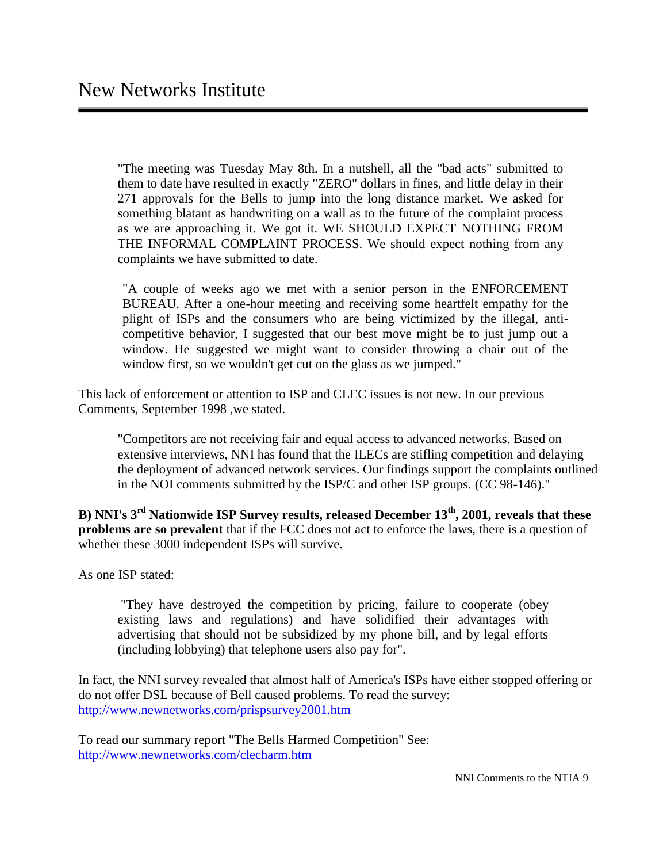"The meeting was Tuesday May 8th. In a nutshell, all the "bad acts" submitted to them to date have resulted in exactly "ZERO" dollars in fines, and little delay in their 271 approvals for the Bells to jump into the long distance market. We asked for something blatant as handwriting on a wall as to the future of the complaint process as we are approaching it. We got it. WE SHOULD EXPECT NOTHING FROM THE INFORMAL COMPLAINT PROCESS. We should expect nothing from any complaints we have submitted to date.

"A couple of weeks ago we met with a senior person in the ENFORCEMENT BUREAU. After a one-hour meeting and receiving some heartfelt empathy for the plight of ISPs and the consumers who are being victimized by the illegal, anti competitive behavior, I suggested that our best move might be to just jump out a window. He suggested we might want to consider throwing a chair out of the window first, so we wouldn't get cut on the glass as we jumped."

This lack of enforcement or attention to ISP and CLEC issues is not new. In our previous Comments, September 1998 ,we stated.

"Competitors are not receiving fair and equal access to advanced networks. Based on extensive interviews, NNI has found that the ILECs are stifling competition and delaying the deployment of advanced network services. Our findings support the complaints outlined in the NOI comments submitted by the ISP/C and other ISP groups. (CC 98-146)."

**B) NNI's 3rd Nationwide ISP Survey results, released December 13th, 2001, reveals that these problems are so prevalent** that if the FCC does not act to enforce the laws, there is a question of whether these 3000 independent ISPs will survive.

As one ISP stated:

 "They have destroyed the competition by pricing, failure to cooperate (obey existing laws and regulations) and have solidified their advantages with advertising that should not be subsidized by my phone bill, and by legal efforts (including lobbying) that telephone users also pay for".

In fact, the NNI survey revealed that almost half of America's ISPs have either stopped offering or do not offer DSL because of Bell caused problems. To read the survey: http://www.newnetworks.com/prispsurvey2001.htm

To read our summary report "The Bells Harmed Competition" See: http://www.newnetworks.com/clecharm.htm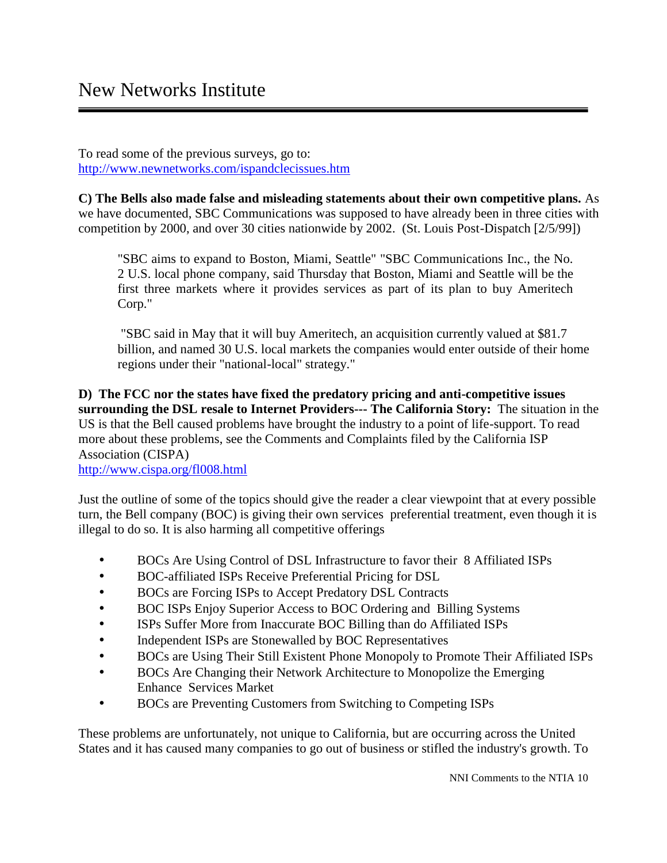To read some of the previous surveys, go to: http://www.newnetworks.com/ispandclecissues.htm

**C) The Bells also made false and misleading statements about their own competitive plans.** As we have documented, SBC Communications was supposed to have already been in three cities with competition by 2000, and over 30 cities nationwide by 2002. (St. Louis Post-Dispatch [2/5/99])

"SBC aims to expand to Boston, Miami, Seattle" "SBC Communications Inc., the No. 2 U.S. local phone company, said Thursday that Boston, Miami and Seattle will be the first three markets where it provides services as part of its plan to buy Ameritech Corp."

 "SBC said in May that it will buy Ameritech, an acquisition currently valued at \$81.7 billion, and named 30 U.S. local markets the companies would enter outside of their home regions under their "national-local" strategy."

**D) The FCC nor the states have fixed the predatory pricing and anti-competitive issues surrounding the DSL resale to Internet Providers--- The California Story:** The situation in the US is that the Bell caused problems have brought the industry to a point of life-support. To read more about these problems, see the Comments and Complaints filed by the California ISP Association (CISPA)

http://www.cispa.org/fl008.html

Just the outline of some of the topics should give the reader a clear viewpoint that at every possible turn, the Bell company (BOC) is giving their own services preferential treatment, even though it is illegal to do so. It is also harming all competitive offerings

- BOCs Are Using Control of DSL Infrastructure to favor their 8 Affiliated ISPs
- BOC-affiliated ISPs Receive Preferential Pricing for DSL
- BOCs are Forcing ISPs to Accept Predatory DSL Contracts
- BOC ISPs Enjoy Superior Access to BOC Ordering and Billing Systems
- ISPs Suffer More from Inaccurate BOC Billing than do Affiliated ISPs
- Independent ISPs are Stonewalled by BOC Representatives
- BOCs are Using Their Still Existent Phone Monopoly to Promote Their Affiliated ISPs
- BOCs Are Changing their Network Architecture to Monopolize the Emerging Enhance Services Market
- BOCs are Preventing Customers from Switching to Competing ISPs

These problems are unfortunately, not unique to California, but are occurring across the United States and it has caused many companies to go out of business or stifled the industry's growth. To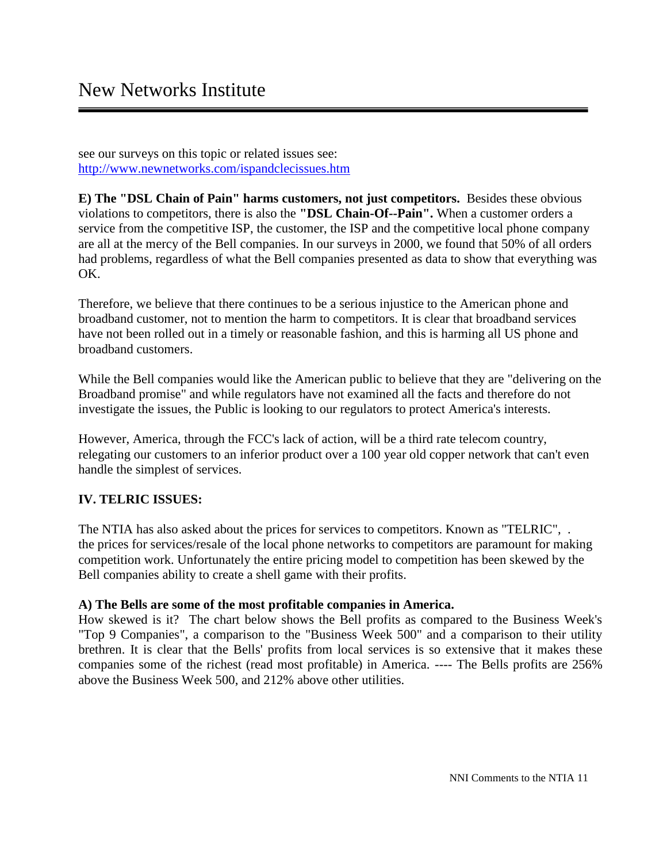see our surveys on this topic or related issues see: http://www.newnetworks.com/ispandclecissues.htm

**E) The "DSL Chain of Pain" harms customers, not just competitors.** Besides these obvious violations to competitors, there is also the **"DSL Chain-Of--Pain".** When a customer orders a service from the competitive ISP, the customer, the ISP and the competitive local phone company are all at the mercy of the Bell companies. In our surveys in 2000, we found that 50% of all orders had problems, regardless of what the Bell companies presented as data to show that everything was OK.

Therefore, we believe that there continues to be a serious injustice to the American phone and broadband customer, not to mention the harm to competitors. It is clear that broadband services have not been rolled out in a timely or reasonable fashion, and this is harming all US phone and broadband customers.

While the Bell companies would like the American public to believe that they are "delivering on the Broadband promise" and while regulators have not examined all the facts and therefore do not investigate the issues, the Public is looking to our regulators to protect America's interests.

However, America, through the FCC's lack of action, will be a third rate telecom country, relegating our customers to an inferior product over a 100 year old copper network that can't even handle the simplest of services.

# **IV. TELRIC ISSUES:**

The NTIA has also asked about the prices for services to competitors. Known as "TELRIC", . the prices for services/resale of the local phone networks to competitors are paramount for making competition work. Unfortunately the entire pricing model to competition has been skewed by the Bell companies ability to create a shell game with their profits.

## **A) The Bells are some of the most profitable companies in America.**

How skewed is it? The chart below shows the Bell profits as compared to the Business Week's "Top 9 Companies", a comparison to the "Business Week 500" and a comparison to their utility brethren. It is clear that the Bells' profits from local services is so extensive that it makes these companies some of the richest (read most profitable) in America. ---- The Bells profits are 256% above the Business Week 500, and 212% above other utilities.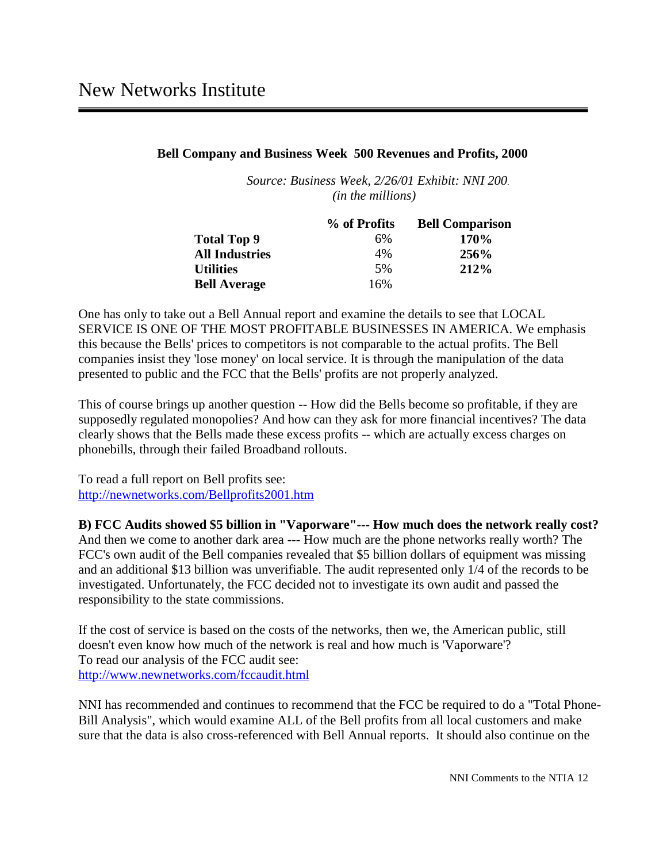#### **Bell Company and Business Week 500 Revenues and Profits, 2000**

*Source: Business Week, 2/26/01 Exhibit: NNI 200. (in the millions)*

|                       | % of Profits | <b>Bell Comparison</b> |  |
|-----------------------|--------------|------------------------|--|
| <b>Total Top 9</b>    | 6%           | <b>170%</b>            |  |
| <b>All Industries</b> | 4%           | <b>256%</b>            |  |
| <b>Utilities</b>      | .5%          | 212%                   |  |
| <b>Bell Average</b>   | 16%          |                        |  |

One has only to take out a Bell Annual report and examine the details to see that LOCAL SERVICE IS ONE OF THE MOST PROFITABLE BUSINESSES IN AMERICA. We emphasis this because the Bells' prices to competitors is not comparable to the actual profits. The Bell companies insist they 'lose money' on local service. It is through the manipulation of the data presented to public and the FCC that the Bells' profits are not properly analyzed.

This of course brings up another question -- How did the Bells become so profitable, if they are supposedly regulated monopolies? And how can they ask for more financial incentives? The data clearly shows that the Bells made these excess profits -- which are actually excess charges on phonebills, through their failed Broadband rollouts.

To read a full report on Bell profits see: http://newnetworks.com/Bellprofits2001.htm

**B) FCC Audits showed \$5 billion in "Vaporware"--- How much does the network really cost?** And then we come to another dark area --- How much are the phone networks really worth? The FCC's own audit of the Bell companies revealed that \$5 billion dollars of equipment was missing and an additional \$13 billion was unverifiable. The audit represented only 1/4 of the records to be investigated. Unfortunately, the FCC decided not to investigate its own audit and passed the responsibility to the state commissions.

If the cost of service is based on the costs of the networks, then we, the American public, still doesn't even know how much of the network is real and how much is 'Vaporware'? To read our analysis of the FCC audit see: http://www.newnetworks.com/fccaudit.html

NNI has recommended and continues to recommend that the FCC be required to do a "Total Phone- Bill Analysis", which would examine ALL of the Bell profits from all local customers and make sure that the data is also cross-referenced with Bell Annual reports. It should also continue on the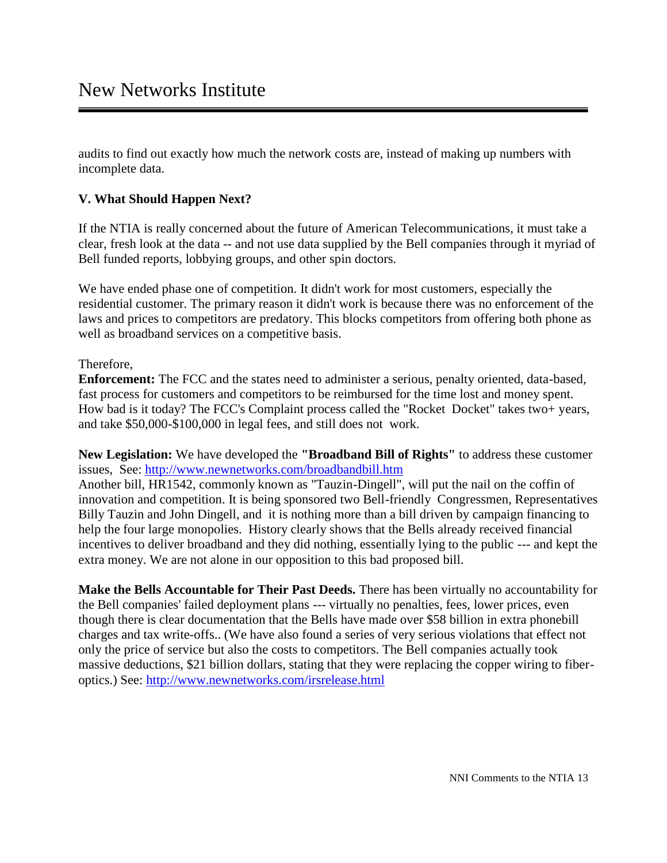audits to find out exactly how much the network costs are, instead of making up numbers with incomplete data.

## **V. What Should Happen Next?**

If the NTIA is really concerned about the future of American Telecommunications, it must take a clear, fresh look at the data -- and not use data supplied by the Bell companies through it myriad of Bell funded reports, lobbying groups, and other spin doctors.

We have ended phase one of competition. It didn't work for most customers, especially the residential customer. The primary reason it didn't work is because there was no enforcement of the laws and prices to competitors are predatory. This blocks competitors from offering both phone as well as broadband services on a competitive basis.

#### Therefore,

**Enforcement:** The FCC and the states need to administer a serious, penalty oriented, data-based, fast process for customers and competitors to be reimbursed for the time lost and money spent. How bad is it today? The FCC's Complaint process called the "Rocket Docket" takes two+ years, and take \$50,000-\$100,000 in legal fees, and still does not work.

**New Legislation:** We have developed the **"Broadband Bill of Rights"** to address these customer issues, See: http://www.newnetworks.com/broadbandbill.htm

Another bill, HR1542, commonly known as "Tauzin-Dingell", will put the nail on the coffin of innovation and competition. It is being sponsored two Bell-friendly Congressmen, Representatives Billy Tauzin and John Dingell, and it is nothing more than a bill driven by campaign financing to help the four large monopolies. History clearly shows that the Bells already received financial incentives to deliver broadband and they did nothing, essentially lying to the public --- and kept the extra money. We are not alone in our opposition to this bad proposed bill.

**Make the Bells Accountable for Their Past Deeds.** There has been virtually no accountability for the Bell companies' failed deployment plans --- virtually no penalties, fees, lower prices, even though there is clear documentation that the Bells have made over \$58 billion in extra phonebill charges and tax write-offs.. (We have also found a series of very serious violations that effect not only the price of service but also the costs to competitors. The Bell companies actually took massive deductions, \$21 billion dollars, stating that they were replacing the copper wiring to fiber optics.) See: http://www.newnetworks.com/irsrelease.html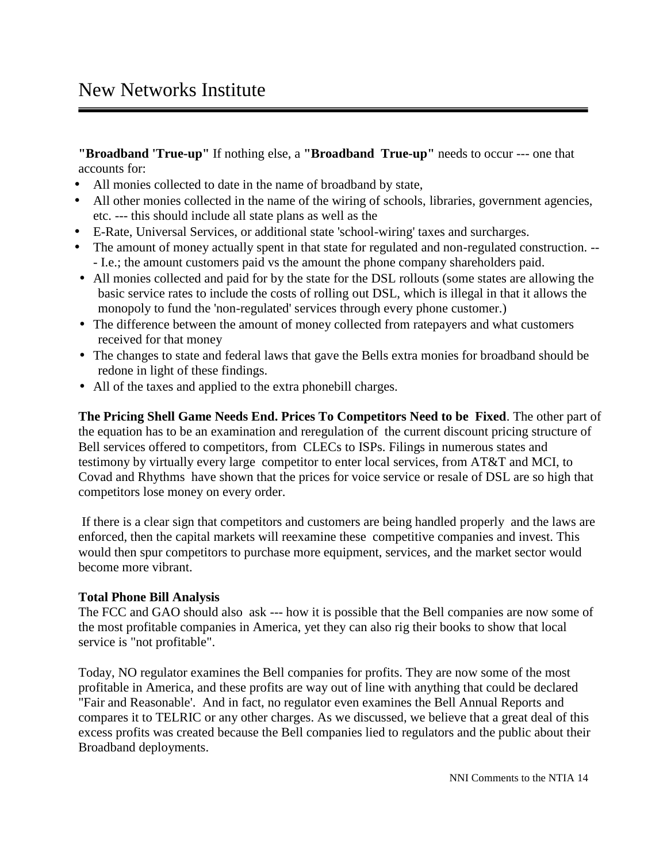# New Networks Institute

**"Broadband 'True-up"** If nothing else, a **"Broadband True-up"** needs to occur --- one that accounts for:

- All monies collected to date in the name of broadband by state,
- All other monies collected in the name of the wiring of schools, libraries, government agencies, etc. --- this should include all state plans as well as the
- E-Rate, Universal Services, or additional state 'school-wiring' taxes and surcharges.
- The amount of money actually spent in that state for regulated and non-regulated construction. --- I.e.; the amount customers paid vs the amount the phone company shareholders paid.
- All monies collected and paid for by the state for the DSL rollouts (some states are allowing the basic service rates to include the costs of rolling out DSL, which is illegal in that it allows the monopoly to fund the 'non-regulated' services through every phone customer.)
- The difference between the amount of money collected from ratepayers and what customers received for that money
- The changes to state and federal laws that gave the Bells extra monies for broadband should be redone in light of these findings.
- All of the taxes and applied to the extra phonebill charges.

**The Pricing Shell Game Needs End. Prices To Competitors Need to be Fixed**. The other part of the equation has to be an examination and reregulation of the current discount pricing structure of Bell services offered to competitors, from CLECs to ISPs. Filings in numerous states and testimony by virtually every large competitor to enter local services, from AT&T and MCI, to Covad and Rhythms have shown that the prices for voice service or resale of DSL are so high that competitors lose money on every order.

 If there is a clear sign that competitors and customers are being handled properly and the laws are enforced, then the capital markets will reexamine these competitive companies and invest. This would then spur competitors to purchase more equipment, services, and the market sector would become more vibrant.

## **Total Phone Bill Analysis**

The FCC and GAO should also ask --- how it is possible that the Bell companies are now some of the most profitable companies in America, yet they can also rig their books to show that local service is "not profitable".

Today, NO regulator examines the Bell companies for profits. They are now some of the most profitable in America, and these profits are way out of line with anything that could be declared "Fair and Reasonable'. And in fact, no regulator even examines the Bell Annual Reports and compares it to TELRIC or any other charges. As we discussed, we believe that a great deal of this excess profits was created because the Bell companies lied to regulators and the public about their Broadband deployments.